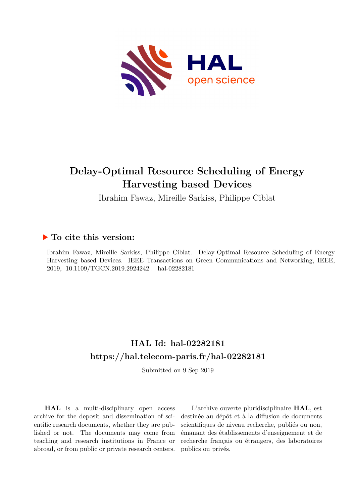

## **Delay-Optimal Resource Scheduling of Energy Harvesting based Devices**

Ibrahim Fawaz, Mireille Sarkiss, Philippe Ciblat

### **To cite this version:**

Ibrahim Fawaz, Mireille Sarkiss, Philippe Ciblat. Delay-Optimal Resource Scheduling of Energy Harvesting based Devices. IEEE Transactions on Green Communications and Networking, IEEE, 2019, 10.1109/TGCN.2019.2924242. hal-02282181

## **HAL Id: hal-02282181 <https://hal.telecom-paris.fr/hal-02282181>**

Submitted on 9 Sep 2019

**HAL** is a multi-disciplinary open access archive for the deposit and dissemination of scientific research documents, whether they are published or not. The documents may come from teaching and research institutions in France or abroad, or from public or private research centers.

L'archive ouverte pluridisciplinaire **HAL**, est destinée au dépôt et à la diffusion de documents scientifiques de niveau recherche, publiés ou non, émanant des établissements d'enseignement et de recherche français ou étrangers, des laboratoires publics ou privés.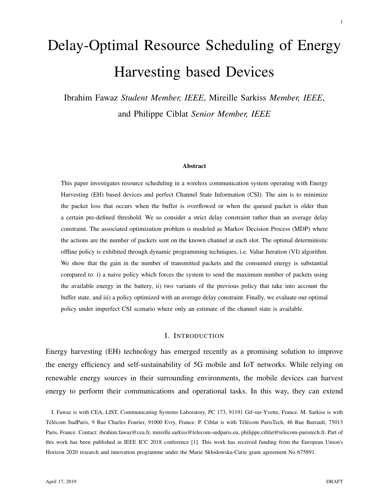# Delay-Optimal Resource Scheduling of Energy Harvesting based Devices

Ibrahim Fawaz *Student Member, IEEE*, Mireille Sarkiss *Member, IEEE*, and Philippe Ciblat *Senior Member, IEEE*

#### Abstract

This paper investigates resource scheduling in a wireless communication system operating with Energy Harvesting (EH) based devices and perfect Channel State Information (CSI). The aim is to minimize the packet loss that occurs when the buffer is overflowed or when the queued packet is older than a certain pre-defined threshold. We so consider a strict delay constraint rather than an average delay constraint. The associated optimization problem is modeled as Markov Decision Process (MDP) where the actions are the number of packets sent on the known channel at each slot. The optimal deterministic offline policy is exhibited through dynamic programming techniques, i.e. Value Iteration (VI) algorithm. We show that the gain in the number of transmitted packets and the consumed energy is substantial compared to: i) a naive policy which forces the system to send the maximum number of packets using the available energy in the battery, ii) two variants of the previous policy that take into account the buffer state, and iii) a policy optimized with an average delay constraint. Finally, we evaluate our optimal policy under imperfect CSI scenario where only an estimate of the channel state is available.

#### I. INTRODUCTION

Energy harvesting (EH) technology has emerged recently as a promising solution to improve the energy efficiency and self-sustainability of 5G mobile and IoT networks. While relying on renewable energy sources in their surrounding environments, the mobile devices can harvest energy to perform their communications and operational tasks. In this way, they can extend

I. Fawaz is with CEA, LIST, Communicating Systems Laboratory, PC 173, 91191 Gif-sur-Yvette, France. M. Sarkiss is with Télécom SudParis, 9 Rue Charles Fourier, 91000 Evry, France. P. Ciblat is with Télécom ParisTech, 46 Rue Barrault, 75013 Paris, France. Contact: ibrahim.fawaz@cea.fr, mireille.sarkiss@telecom-sudparis.eu, philippe.ciblat@telecom-paristech.fr. Part of this work has been published in IEEE ICC 2018 conference [1]. This work has received funding from the European Union's Horizon 2020 research and innovation programme under the Marie Skłodowska-Curie grant agreement No 675891.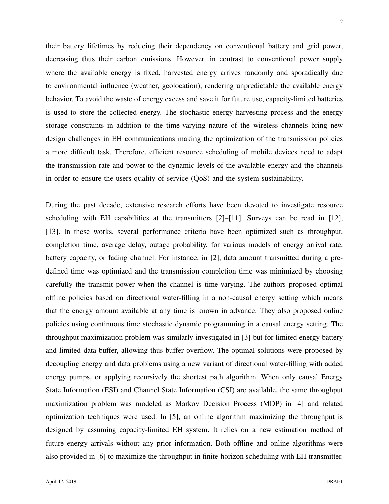2

their battery lifetimes by reducing their dependency on conventional battery and grid power, decreasing thus their carbon emissions. However, in contrast to conventional power supply where the available energy is fixed, harvested energy arrives randomly and sporadically due to environmental influence (weather, geolocation), rendering unpredictable the available energy behavior. To avoid the waste of energy excess and save it for future use, capacity-limited batteries is used to store the collected energy. The stochastic energy harvesting process and the energy storage constraints in addition to the time-varying nature of the wireless channels bring new design challenges in EH communications making the optimization of the transmission policies a more difficult task. Therefore, efficient resource scheduling of mobile devices need to adapt the transmission rate and power to the dynamic levels of the available energy and the channels in order to ensure the users quality of service (QoS) and the system sustainability.

During the past decade, extensive research efforts have been devoted to investigate resource scheduling with EH capabilities at the transmitters  $[2]-[11]$ . Surveys can be read in  $[12]$ , [13]. In these works, several performance criteria have been optimized such as throughput, completion time, average delay, outage probability, for various models of energy arrival rate, battery capacity, or fading channel. For instance, in [2], data amount transmitted during a predefined time was optimized and the transmission completion time was minimized by choosing carefully the transmit power when the channel is time-varying. The authors proposed optimal offline policies based on directional water-filling in a non-causal energy setting which means that the energy amount available at any time is known in advance. They also proposed online policies using continuous time stochastic dynamic programming in a causal energy setting. The throughput maximization problem was similarly investigated in [3] but for limited energy battery and limited data buffer, allowing thus buffer overflow. The optimal solutions were proposed by decoupling energy and data problems using a new variant of directional water-filling with added energy pumps, or applying recursively the shortest path algorithm. When only causal Energy State Information (ESI) and Channel State Information (CSI) are available, the same throughput maximization problem was modeled as Markov Decision Process (MDP) in [4] and related optimization techniques were used. In [5], an online algorithm maximizing the throughput is designed by assuming capacity-limited EH system. It relies on a new estimation method of future energy arrivals without any prior information. Both offline and online algorithms were also provided in [6] to maximize the throughput in finite-horizon scheduling with EH transmitter.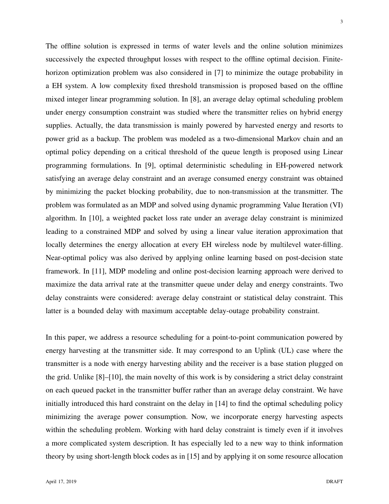The offline solution is expressed in terms of water levels and the online solution minimizes successively the expected throughput losses with respect to the offline optimal decision. Finitehorizon optimization problem was also considered in [7] to minimize the outage probability in a EH system. A low complexity fixed threshold transmission is proposed based on the offline mixed integer linear programming solution. In [8], an average delay optimal scheduling problem under energy consumption constraint was studied where the transmitter relies on hybrid energy supplies. Actually, the data transmission is mainly powered by harvested energy and resorts to power grid as a backup. The problem was modeled as a two-dimensional Markov chain and an optimal policy depending on a critical threshold of the queue length is proposed using Linear programming formulations. In [9], optimal deterministic scheduling in EH-powered network satisfying an average delay constraint and an average consumed energy constraint was obtained by minimizing the packet blocking probability, due to non-transmission at the transmitter. The problem was formulated as an MDP and solved using dynamic programming Value Iteration (VI) algorithm. In [10], a weighted packet loss rate under an average delay constraint is minimized leading to a constrained MDP and solved by using a linear value iteration approximation that locally determines the energy allocation at every EH wireless node by multilevel water-filling. Near-optimal policy was also derived by applying online learning based on post-decision state framework. In [11], MDP modeling and online post-decision learning approach were derived to maximize the data arrival rate at the transmitter queue under delay and energy constraints. Two delay constraints were considered: average delay constraint or statistical delay constraint. This latter is a bounded delay with maximum acceptable delay-outage probability constraint.

In this paper, we address a resource scheduling for a point-to-point communication powered by energy harvesting at the transmitter side. It may correspond to an Uplink (UL) case where the transmitter is a node with energy harvesting ability and the receiver is a base station plugged on the grid. Unlike [8]–[10], the main novelty of this work is by considering a strict delay constraint on each queued packet in the transmitter buffer rather than an average delay constraint. We have initially introduced this hard constraint on the delay in [14] to find the optimal scheduling policy minimizing the average power consumption. Now, we incorporate energy harvesting aspects within the scheduling problem. Working with hard delay constraint is timely even if it involves a more complicated system description. It has especially led to a new way to think information theory by using short-length block codes as in [15] and by applying it on some resource allocation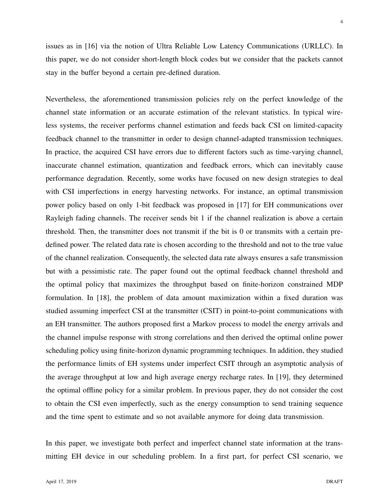issues as in [16] via the notion of Ultra Reliable Low Latency Communications (URLLC). In this paper, we do not consider short-length block codes but we consider that the packets cannot stay in the buffer beyond a certain pre-defined duration.

Nevertheless, the aforementioned transmission policies rely on the perfect knowledge of the channel state information or an accurate estimation of the relevant statistics. In typical wireless systems, the receiver performs channel estimation and feeds back CSI on limited-capacity feedback channel to the transmitter in order to design channel-adapted transmission techniques. In practice, the acquired CSI have errors due to different factors such as time-varying channel, inaccurate channel estimation, quantization and feedback errors, which can inevitably cause performance degradation. Recently, some works have focused on new design strategies to deal with CSI imperfections in energy harvesting networks. For instance, an optimal transmission power policy based on only 1-bit feedback was proposed in [17] for EH communications over Rayleigh fading channels. The receiver sends bit 1 if the channel realization is above a certain threshold. Then, the transmitter does not transmit if the bit is 0 or transmits with a certain predefined power. The related data rate is chosen according to the threshold and not to the true value of the channel realization. Consequently, the selected data rate always ensures a safe transmission but with a pessimistic rate. The paper found out the optimal feedback channel threshold and the optimal policy that maximizes the throughput based on finite-horizon constrained MDP formulation. In [18], the problem of data amount maximization within a fixed duration was studied assuming imperfect CSI at the transmitter (CSIT) in point-to-point communications with an EH transmitter. The authors proposed first a Markov process to model the energy arrivals and the channel impulse response with strong correlations and then derived the optimal online power scheduling policy using finite-horizon dynamic programming techniques. In addition, they studied the performance limits of EH systems under imperfect CSIT through an asymptotic analysis of the average throughput at low and high average energy recharge rates. In [19], they determined the optimal offline policy for a similar problem. In previous paper, they do not consider the cost to obtain the CSI even imperfectly, such as the energy consumption to send training sequence and the time spent to estimate and so not available anymore for doing data transmission.

In this paper, we investigate both perfect and imperfect channel state information at the transmitting EH device in our scheduling problem. In a first part, for perfect CSI scenario, we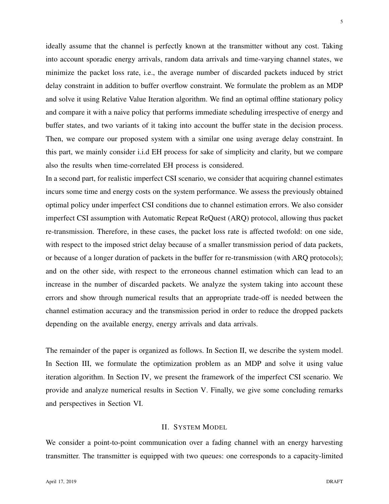ideally assume that the channel is perfectly known at the transmitter without any cost. Taking into account sporadic energy arrivals, random data arrivals and time-varying channel states, we minimize the packet loss rate, i.e., the average number of discarded packets induced by strict delay constraint in addition to buffer overflow constraint. We formulate the problem as an MDP and solve it using Relative Value Iteration algorithm. We find an optimal offline stationary policy and compare it with a naive policy that performs immediate scheduling irrespective of energy and buffer states, and two variants of it taking into account the buffer state in the decision process. Then, we compare our proposed system with a similar one using average delay constraint. In this part, we mainly consider i.i.d EH process for sake of simplicity and clarity, but we compare also the results when time-correlated EH process is considered.

In a second part, for realistic imperfect CSI scenario, we consider that acquiring channel estimates incurs some time and energy costs on the system performance. We assess the previously obtained optimal policy under imperfect CSI conditions due to channel estimation errors. We also consider imperfect CSI assumption with Automatic Repeat ReQuest (ARQ) protocol, allowing thus packet re-transmission. Therefore, in these cases, the packet loss rate is affected twofold: on one side, with respect to the imposed strict delay because of a smaller transmission period of data packets, or because of a longer duration of packets in the buffer for re-transmission (with ARQ protocols); and on the other side, with respect to the erroneous channel estimation which can lead to an increase in the number of discarded packets. We analyze the system taking into account these errors and show through numerical results that an appropriate trade-off is needed between the channel estimation accuracy and the transmission period in order to reduce the dropped packets depending on the available energy, energy arrivals and data arrivals.

The remainder of the paper is organized as follows. In Section II, we describe the system model. In Section III, we formulate the optimization problem as an MDP and solve it using value iteration algorithm. In Section IV, we present the framework of the imperfect CSI scenario. We provide and analyze numerical results in Section V. Finally, we give some concluding remarks and perspectives in Section VI.

#### II. SYSTEM MODEL

We consider a point-to-point communication over a fading channel with an energy harvesting transmitter. The transmitter is equipped with two queues: one corresponds to a capacity-limited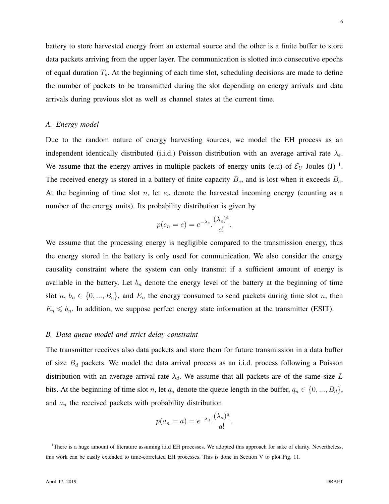battery to store harvested energy from an external source and the other is a finite buffer to store data packets arriving from the upper layer. The communication is slotted into consecutive epochs of equal duration  $T_s$ . At the beginning of each time slot, scheduling decisions are made to define the number of packets to be transmitted during the slot depending on energy arrivals and data arrivals during previous slot as well as channel states at the current time.

#### *A. Energy model*

Due to the random nature of energy harvesting sources, we model the EH process as an independent identically distributed (i.i.d.) Poisson distribution with an average arrival rate  $\lambda_e$ . We assume that the energy arrives in multiple packets of energy units (e.u) of  $\mathcal{E}_U$  Joules (J)<sup>1</sup>. The received energy is stored in a battery of finite capacity  $B_e$ , and is lost when it exceeds  $B_e$ . At the beginning of time slot n, let  $e_n$  denote the harvested incoming energy (counting as a number of the energy units). Its probability distribution is given by

$$
p(e_n = e) = e^{-\lambda_e} \cdot \frac{(\lambda_e)^e}{e!}.
$$

We assume that the processing energy is negligible compared to the transmission energy, thus the energy stored in the battery is only used for communication. We also consider the energy causality constraint where the system can only transmit if a sufficient amount of energy is available in the battery. Let  $b_n$  denote the energy level of the battery at the beginning of time slot  $n, b_n \in \{0, ..., B_e\}$ , and  $E_n$  the energy consumed to send packets during time slot n, then  $E_n \leq b_n$ . In addition, we suppose perfect energy state information at the transmitter (ESIT).

#### *B. Data queue model and strict delay constraint*

The transmitter receives also data packets and store them for future transmission in a data buffer of size  $B_d$  packets. We model the data arrival process as an i.i.d. process following a Poisson distribution with an average arrival rate  $\lambda_d$ . We assume that all packets are of the same size L bits. At the beginning of time slot n, let  $q_n$  denote the queue length in the buffer,  $q_n \in \{0, ..., B_d\}$ , and  $a_n$  the received packets with probability distribution

$$
p(a_n = a) = e^{-\lambda_d} \cdot \frac{(\lambda_d)^a}{a!}.
$$

<sup>1</sup>There is a huge amount of literature assuming i.i.d EH processes. We adopted this approach for sake of clarity. Nevertheless, this work can be easily extended to time-correlated EH processes. This is done in Section V to plot Fig. 11.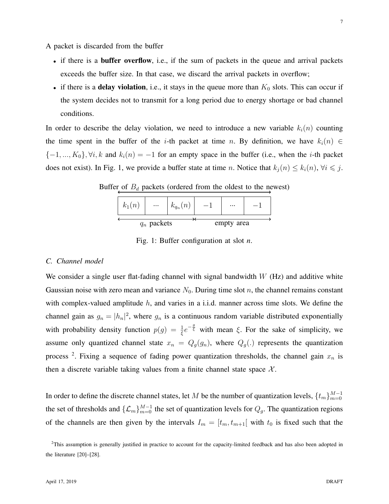A packet is discarded from the buffer

- if there is a **buffer overflow**, i.e., if the sum of packets in the queue and arrival packets exceeds the buffer size. In that case, we discard the arrival packets in overflow;
- if there is a delay violation, i.e., it stays in the queue more than  $K_0$  slots. This can occur if the system decides not to transmit for a long period due to energy shortage or bad channel conditions.

In order to describe the delay violation, we need to introduce a new variable  $k_i(n)$  counting the time spent in the buffer of the i-th packet at time n. By definition, we have  $k_i(n) \in$  ${-1, ..., K_0}, \forall i, k$  and  $k_i(n) = -1$  for an empty space in the buffer (i.e., when the *i*-th packet does not exist). In Fig. 1, we provide a buffer state at time n. Notice that  $k_i(n) \leq k_i(n)$ ,  $\forall i \leq j$ .

| $k_1(n)$      | $\cdots$ | $k_{q_n}(n)$ |            | $\cdots$ |  |
|---------------|----------|--------------|------------|----------|--|
| $q_n$ packets |          |              | empty area |          |  |

Buffer of  $B_d$  packets (ordered from the oldest to the newest)

Fig. 1: Buffer configuration at slot *n*.

#### *C. Channel model*

We consider a single user flat-fading channel with signal bandwidth  $W$  (Hz) and additive white Gaussian noise with zero mean and variance  $N_0$ . During time slot n, the channel remains constant with complex-valued amplitude  $h$ , and varies in a i.i.d. manner across time slots. We define the channel gain as  $g_n = |h_n|^2$ , where  $g_n$  is a continuous random variable distributed exponentially with probability density function  $p(g) = \frac{1}{\xi}e^{-\frac{g}{\xi}}$  with mean  $\xi$ . For the sake of simplicity, we assume only quantized channel state  $x_n = Q_g(g_n)$ , where  $Q_g(.)$  represents the quantization process <sup>2</sup>. Fixing a sequence of fading power quantization thresholds, the channel gain  $x_n$  is then a discrete variable taking values from a finite channel state space  $\mathcal{X}$ .

In order to define the discrete channel states, let M be the number of quantization levels,  $\{t_m\}_{m=0}^{M-1}$ the set of thresholds and  $\{\mathcal{L}_m\}_{m=0}^{M-1}$  the set of quantization levels for  $Q_g$ . The quantization regions of the channels are then given by the intervals  $I_m = [t_m, t_{m+1}]$  with  $t_0$  is fixed such that the

7

<sup>&</sup>lt;sup>2</sup>This assumption is generally justified in practice to account for the capacity-limited feedback and has also been adopted in the literature [20]–[28].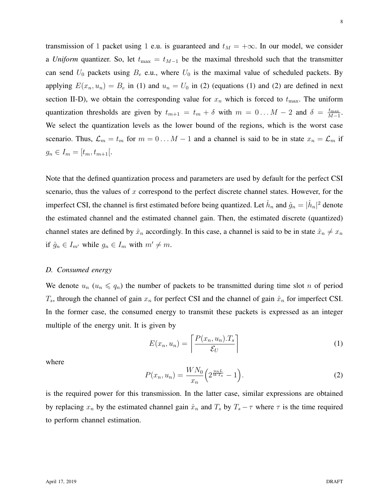transmission of 1 packet using 1 e.u. is guaranteed and  $t_M = +\infty$ . In our model, we consider a *Uniform* quantizer. So, let  $t_{\text{max}} = t_{M-1}$  be the maximal threshold such that the transmitter can send  $U_0$  packets using  $B_e$  e.u., where  $U_0$  is the maximal value of scheduled packets. By applying  $E(x_n, u_n) = B_e$  in (1) and  $u_n = U_0$  in (2) (equations (1) and (2) are defined in next section II-D), we obtain the corresponding value for  $x_n$  which is forced to  $t_{\text{max}}$ . The uniform quantization thresholds are given by  $t_{m+1} = t_m + \delta$  with  $m = 0...M - 2$  and  $\delta = \frac{t_{\max}}{M-1}$  $\frac{t_{\max}}{M-1}$ . We select the quantization levels as the lower bound of the regions, which is the worst case scenario. Thus,  $\mathcal{L}_m = t_m$  for  $m = 0 \dots M - 1$  and a channel is said to be in state  $x_n = \mathcal{L}_m$  if  $g_n \in I_m = [t_m, t_{m+1}].$ 

Note that the defined quantization process and parameters are used by default for the perfect CSI scenario, thus the values of  $x$  correspond to the perfect discrete channel states. However, for the imperfect CSI, the channel is first estimated before being quantized. Let  $\hat{h}_n$  and  $\hat{g}_n = |\hat{h}_n|^2$  denote the estimated channel and the estimated channel gain. Then, the estimated discrete (quantized) channel states are defined by  $\hat{x}_n$  accordingly. In this case, a channel is said to be in state  $\hat{x}_n \neq x_n$ if  $\hat{g}_n \in I_{m'}$  while  $g_n \in I_m$  with  $m' \neq m$ .

#### *D. Consumed energy*

We denote  $u_n$  ( $u_n \leq q_n$ ) the number of packets to be transmitted during time slot n of period  $T_s$ , through the channel of gain  $x_n$  for perfect CSI and the channel of gain  $\hat{x}_n$  for imperfect CSI. In the former case, the consumed energy to transmit these packets is expressed as an integer multiple of the energy unit. It is given by

$$
E(x_n, u_n) = \left\lceil \frac{P(x_n, u_n) \cdot T_s}{\mathcal{E}_U} \right\rceil \tag{1}
$$

where

$$
P(x_n, u_n) = \frac{WN_0}{x_n} \left( 2^{\frac{u_n L}{WT_s}} - 1 \right).
$$
 (2)

is the required power for this transmission. In the latter case, similar expressions are obtained by replacing  $x_n$  by the estimated channel gain  $\hat{x}_n$  and  $T_s$  by  $T_s - \tau$  where  $\tau$  is the time required to perform channel estimation.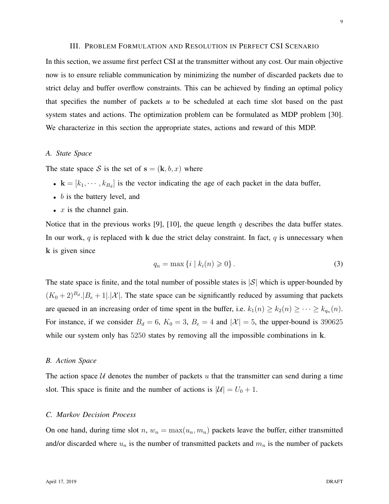#### III. PROBLEM FORMULATION AND RESOLUTION IN PERFECT CSI SCENARIO

In this section, we assume first perfect CSI at the transmitter without any cost. Our main objective now is to ensure reliable communication by minimizing the number of discarded packets due to strict delay and buffer overflow constraints. This can be achieved by finding an optimal policy that specifies the number of packets *u* to be scheduled at each time slot based on the past system states and actions. The optimization problem can be formulated as MDP problem [30]. We characterize in this section the appropriate states, actions and reward of this MDP.

#### *A. State Space*

The state space S is the set of  $s = (k, b, x)$  where

- $\mathbf{k} = [k_1, \dots, k_{B_d}]$  is the vector indicating the age of each packet in the data buffer,
- $\bullet$  b is the battery level, and
- $x$  is the channel gain.

Notice that in the previous works [9], [10], the queue length  $q$  describes the data buffer states. In our work,  $q$  is replaced with k due the strict delay constraint. In fact,  $q$  is unnecessary when k is given since

$$
q_n = \max\left\{i \mid k_i(n) \geq 0\right\}.
$$
\n
$$
(3)
$$

The state space is finite, and the total number of possible states is  $|\mathcal{S}|$  which is upper-bounded by  $(K_0+2)^{B_d}$ .  $|B_e+1|$ .  $|\mathcal{X}|$ . The state space can be significantly reduced by assuming that packets are queued in an increasing order of time spent in the buffer, i.e.  $k_1(n) \geq k_2(n) \geq \cdots \geq k_{q_n}(n)$ . For instance, if we consider  $B_d = 6$ ,  $K_0 = 3$ ,  $B_e = 4$  and  $|\mathcal{X}| = 5$ , the upper-bound is 390625 while our system only has 5250 states by removing all the impossible combinations in k.

#### *B. Action Space*

The action space U denotes the number of packets u that the transmitter can send during a time slot. This space is finite and the number of actions is  $|U| = U_0 + 1$ .

#### *C. Markov Decision Process*

On one hand, during time slot n,  $w_n = \max(u_n, m_n)$  packets leave the buffer, either transmitted and/or discarded where  $u_n$  is the number of transmitted packets and  $m_n$  is the number of packets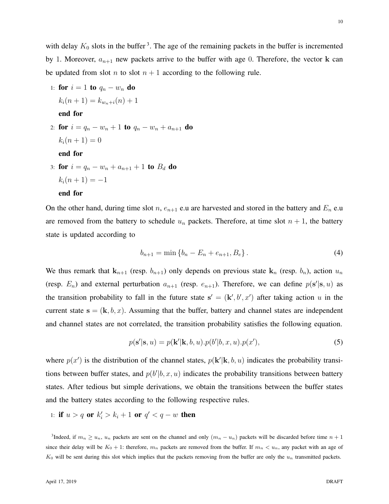10

with delay  $K_0$  slots in the buffer<sup>3</sup>. The age of the remaining packets in the buffer is incremented by 1. Moreover,  $a_{n+1}$  new packets arrive to the buffer with age 0. Therefore, the vector k can be updated from slot n to slot  $n + 1$  according to the following rule.

1: for  $i = 1$  to  $q_n - w_n$  do  $k_i(n+1) = k_{w_n+i}(n) + 1$ 

end for

2: for  $i = q_n - w_n + 1$  to  $q_n - w_n + a_{n+1}$  do  $k_i(n+1) = 0$ 

end for

3: for  $i = q_n - w_n + a_{n+1} + 1$  to  $B_d$  do  $k_i(n+1) = -1$ 

#### end for

On the other hand, during time slot n,  $e_{n+1}$  e.u are harvested and stored in the battery and  $E_n$  e.u are removed from the battery to schedule  $u_n$  packets. Therefore, at time slot  $n + 1$ , the battery state is updated according to

$$
b_{n+1} = \min \{ b_n - E_n + e_{n+1}, B_e \}.
$$
 (4)

We thus remark that  $k_{n+1}$  (resp.  $b_{n+1}$ ) only depends on previous state  $k_n$  (resp.  $b_n$ ), action  $u_n$ (resp.  $E_n$ ) and external perturbation  $a_{n+1}$  (resp.  $e_{n+1}$ ). Therefore, we can define  $p(s'|s, u)$  as the transition probability to fall in the future state  $s' = (k', b', x')$  after taking action u in the current state  $s = (k, b, x)$ . Assuming that the buffer, battery and channel states are independent and channel states are not correlated, the transition probability satisfies the following equation.

$$
p(\mathbf{s}'|\mathbf{s}, u) = p(\mathbf{k}'|\mathbf{k}, b, u).p(b'|\mathbf{b}, x, u).p(x'),\tag{5}
$$

where  $p(x')$  is the distribution of the channel states,  $p(k'|\mathbf{k}, b, u)$  indicates the probability transitions between buffer states, and  $p(b'|b, x, u)$  indicates the probability transitions between battery states. After tedious but simple derivations, we obtain the transitions between the buffer states and the battery states according to the following respective rules.

1: if  $u > q$  or  $k'_i > k_i + 1$  or  $q' < q - w$  then

<sup>3</sup>Indeed, if  $m_n \ge u_n$ ,  $u_n$  packets are sent on the channel and only  $(m_n - u_n)$  packets will be discarded before time  $n + 1$ since their delay will be  $K_0 + 1$ : therefore,  $m_n$  packets are removed from the buffer. If  $m_n < u_n$ , any packet with an age of  $K_0$  will be sent during this slot which implies that the packets removing from the buffer are only the  $u_n$  transmitted packets.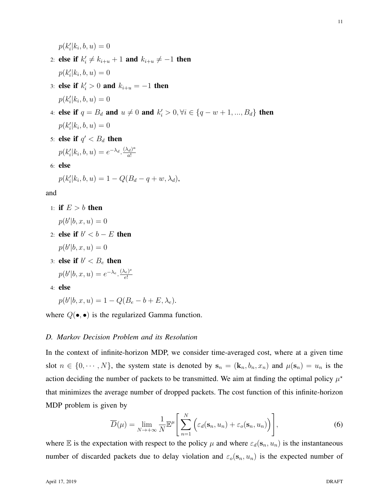$p(k'_{i}|k_{i}, b, u) = 0$ 

- 2: else if  $k'_i \neq k_{i+u} + 1$  and  $k_{i+u} \neq -1$  then  $p(k'_{i}|k_{i}, b, u) = 0$
- 3: else if  $k'_i > 0$  and  $k_{i+u} = -1$  then  $p(k'_{i}|k_{i}, b, u) = 0$
- 4: else if  $q = B_d$  and  $u \neq 0$  and  $k'_i > 0, \forall i \in \{q w + 1, ..., B_d\}$  then  $p(k'_{i}|k_{i}, b, u) = 0$
- 5: else if  $q' < B_d$  then

$$
p(k'_i|k_i, b, u) = e^{-\lambda_d} \cdot \frac{(\lambda_d)^a}{a!}
$$

6: else

$$
p(k'_i|k_i, b, u) = 1 - Q(B_d - q + w, \lambda_d),
$$

#### and

1: if  $E > b$  then

 $p(b'|b, x, u) = 0$ 

- 2: else if  $b' < b E$  then  $p(b'|b, x, u) = 0$
- 3: else if  $b' < B_e$  then

$$
p(b'|b, x, u) = e^{-\lambda_e} \cdot \frac{(\lambda_e)^e}{e!}
$$

4: else

$$
p(b'|b, x, u) = 1 - Q(B_e - b + E, \lambda_e).
$$

where  $Q(\bullet, \bullet)$  is the regularized Gamma function.

#### *D. Markov Decision Problem and its Resolution*

In the context of infinite-horizon MDP, we consider time-averaged cost, where at a given time slot  $n \in \{0, \dots, N\}$ , the system state is denoted by  $s_n = (k_n, b_n, x_n)$  and  $\mu(s_n) = u_n$  is the action deciding the number of packets to be transmitted. We aim at finding the optimal policy  $\mu^*$ that minimizes the average number of dropped packets. The cost function of this infinite-horizon MDP problem is given by

$$
\overline{D}(\mu) = \lim_{N \to +\infty} \frac{1}{N} \mathbb{E}^{\mu} \left[ \sum_{n=1}^{N} \left( \varepsilon_d(\mathbf{s}_n, u_n) + \varepsilon_o(\mathbf{s}_n, u_n) \right) \right],
$$
 (6)

where E is the expectation with respect to the policy  $\mu$  and where  $\varepsilon_d(\mathbf{s}_n, u_n)$  is the instantaneous number of discarded packets due to delay violation and  $\varepsilon_o(s_n, u_n)$  is the expected number of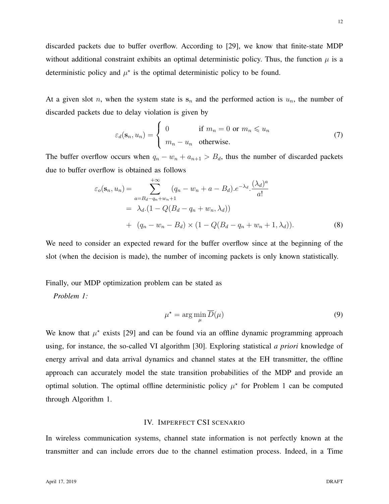discarded packets due to buffer overflow. According to [29], we know that finite-state MDP without additional constraint exhibits an optimal deterministic policy. Thus, the function  $\mu$  is a deterministic policy and  $\mu^*$  is the optimal deterministic policy to be found.

At a given slot n, when the system state is  $s_n$  and the performed action is  $u_n$ , the number of discarded packets due to delay violation is given by

$$
\varepsilon_d(\mathbf{s}_n, u_n) = \begin{cases} 0 & \text{if } m_n = 0 \text{ or } m_n \leq u_n \\ m_n - u_n & \text{otherwise.} \end{cases}
$$
(7)

The buffer overflow occurs when  $q_n - w_n + a_{n+1} > B_d$ , thus the number of discarded packets due to buffer overflow is obtained as follows

$$
\varepsilon_o(\mathbf{s}_n, u_n) = \sum_{a=B_d - q_n + w_n + 1}^{+\infty} (q_n - w_n + a - B_d).e^{-\lambda_d} \cdot \frac{(\lambda_d)^a}{a!} \n= \lambda_d.(1 - Q(B_d - q_n + w_n, \lambda_d)) \n+ (q_n - w_n - B_d) \times (1 - Q(B_d - q_n + w_n + 1, \lambda_d)).
$$
\n(8)

We need to consider an expected reward for the buffer overflow since at the beginning of the slot (when the decision is made), the number of incoming packets is only known statistically.

Finally, our MDP optimization problem can be stated as

*Problem 1:*

$$
\mu^* = \arg\min_{\mu} \overline{D}(\mu) \tag{9}
$$

We know that  $\mu^*$  exists [29] and can be found via an offline dynamic programming approach using, for instance, the so-called VI algorithm [30]. Exploring statistical *a priori* knowledge of energy arrival and data arrival dynamics and channel states at the EH transmitter, the offline approach can accurately model the state transition probabilities of the MDP and provide an optimal solution. The optimal offline deterministic policy  $\mu^*$  for Problem 1 can be computed through Algorithm 1.

#### IV. IMPERFECT CSI SCENARIO

In wireless communication systems, channel state information is not perfectly known at the transmitter and can include errors due to the channel estimation process. Indeed, in a Time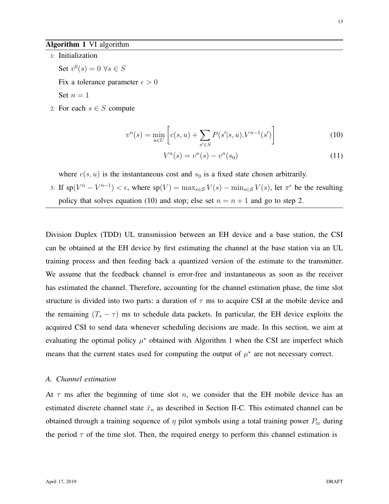#### Algorithm 1 VI algorithm

- 1: Initialization Set  $v^0(s) = 0 \ \forall s \in S$ Fix a tolerance parameter  $\epsilon > 0$ Set  $n = 1$
- 2: For each  $s \in S$  compute

$$
v^{n}(s) = \min_{u \in U} \left[ c(s, u) + \sum_{s' \in S} P(s'|s, u) . V^{n-1}(s') \right]
$$
(10)

$$
V^n(s) = v^n(s) - v^n(s_0)
$$
\n(11)

where  $c(s, u)$  is the instantaneous cost and  $s_0$  is a fixed state chosen arbitrarily.

3: If  $\text{sp}(V^n - V^{n-1}) < \epsilon$ , where  $\text{sp}(V) = \max_{s \in \mathcal{S}} V(s) - \min_{s \in \mathcal{S}} V(s)$ , let  $\pi^{\epsilon}$  be the resulting policy that solves equation (10) and stop; else set  $n = n + 1$  and go to step 2.

Division Duplex (TDD) UL transmission between an EH device and a base station, the CSI can be obtained at the EH device by first estimating the channel at the base station via an UL training process and then feeding back a quantized version of the estimate to the transmitter. We assume that the feedback channel is error-free and instantaneous as soon as the receiver has estimated the channel. Therefore, accounting for the channel estimation phase, the time slot structure is divided into two parts: a duration of  $\tau$  ms to acquire CSI at the mobile device and the remaining  $(T_s - \tau)$  ms to schedule data packets. In particular, the EH device exploits the acquired CSI to send data whenever scheduling decisions are made. In this section, we aim at evaluating the optimal policy  $\mu^*$  obtained with Algorithm 1 when the CSI are imperfect which means that the current states used for computing the output of  $\mu^*$  are not necessary correct.

#### *A. Channel estimation*

At  $\tau$  ms after the beginning of time slot *n*, we consider that the EH mobile device has an estimated discrete channel state  $\hat{x}_n$  as described in Section II-C. This estimated channel can be obtained through a training sequence of  $\eta$  pilot symbols using a total training power  $P_{tr}$  during the period  $\tau$  of the time slot. Then, the required energy to perform this channel estimation is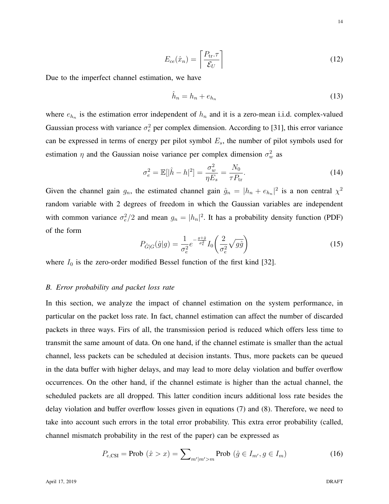$$
E_{ce}(\hat{x}_n) = \left\lceil \frac{P_{\text{tr}}.\tau}{\mathcal{E}_U} \right\rceil \tag{12}
$$

Due to the imperfect channel estimation, we have

$$
\hat{h}_n = h_n + e_{h_n} \tag{13}
$$

where  $e_{h_n}$  is the estimation error independent of  $h_n$  and it is a zero-mean i.i.d. complex-valued Gaussian process with variance  $\sigma_e^2$  per complex dimension. According to [31], this error variance can be expressed in terms of energy per pilot symbol  $E_s$ , the number of pilot symbols used for estimation  $\eta$  and the Gaussian noise variance per complex dimension  $\sigma_w^2$  as

$$
\sigma_e^2 = \mathbb{E}[|\hat{h} - h|^2] = \frac{\sigma_w^2}{\eta E_s} = \frac{N_0}{\tau P_{\text{tr}}}.
$$
\n(14)

Given the channel gain  $g_n$ , the estimated channel gain  $\hat{g}_n = |h_n + e_{h_n}|^2$  is a non central  $\chi^2$ random variable with 2 degrees of freedom in which the Gaussian variables are independent with common variance  $\sigma_e^2/2$  and mean  $g_n = |h_n|^2$ . It has a probability density function (PDF) of the form

$$
P_{\hat{G}|G}(\hat{g}|g) = \frac{1}{\sigma_e^2} e^{-\frac{g+\hat{g}}{\sigma_e^2}} I_0\left(\frac{2}{\sigma_e^2} \sqrt{g}\hat{g}\right)
$$
(15)

where  $I_0$  is the zero-order modified Bessel function of the first kind [32].

#### *B. Error probability and packet loss rate*

In this section, we analyze the impact of channel estimation on the system performance, in particular on the packet loss rate. In fact, channel estimation can affect the number of discarded packets in three ways. Firs of all, the transmission period is reduced which offers less time to transmit the same amount of data. On one hand, if the channel estimate is smaller than the actual channel, less packets can be scheduled at decision instants. Thus, more packets can be queued in the data buffer with higher delays, and may lead to more delay violation and buffer overflow occurrences. On the other hand, if the channel estimate is higher than the actual channel, the scheduled packets are all dropped. This latter condition incurs additional loss rate besides the delay violation and buffer overflow losses given in equations (7) and (8). Therefore, we need to take into account such errors in the total error probability. This extra error probability (called, channel mismatch probability in the rest of the paper) can be expressed as

$$
P_{e,\text{CSI}} = \text{Prob}\left(\hat{x} > x\right) = \sum_{m'|m' > m} \text{Prob}\left(\hat{g} \in I_{m'}, g \in I_m\right) \tag{16}
$$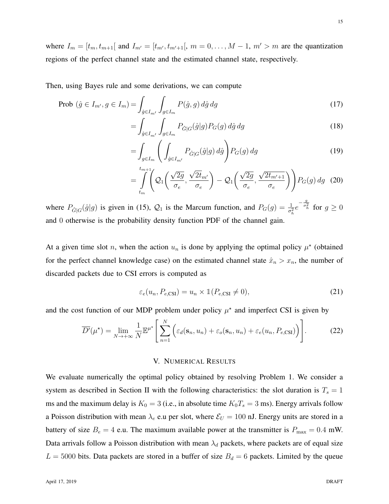where  $I_m = [t_m, t_{m+1}]$  and  $I_{m'} = [t_{m'}, t_{m'+1}], m = 0, ..., M-1, m' > m$  are the quantization regions of the perfect channel state and the estimated channel state, respectively.

Then, using Bayes rule and some derivations, we can compute

$$
\text{Prob}\left(\hat{g}\in I_{m'}, g\in I_m\right) = \int_{\hat{g}\in I_{m'}} \int_{g\in I_m} P(\hat{g}, g) \, d\hat{g} \, dg \tag{17}
$$

$$
=\int_{\hat{g}\in I_{m'}}\int_{g\in I_m}P_{\hat{G}|G}(\hat{g}|g)P_G(g)\,d\hat{g}\,dg\tag{18}
$$

$$
=\int_{g\in I_m}\left(\int_{\hat{g}\in I_{m'}}P_{\hat{G}|G}(\hat{g}|g)\,d\hat{g}\right)P_G(g)\,dg\tag{19}
$$

$$
= \int_{t_m}^{t_{m+1}} \left( \mathcal{Q}_1\left(\frac{\sqrt{2g}}{\sigma_e}, \frac{\sqrt{2t_{m'}}}{\sigma_e} \right) - \mathcal{Q}_1\left(\frac{\sqrt{2g}}{\sigma_e}, \frac{\sqrt{2t_{m'+1}}}{\sigma_e} \right) \right) P_G(g) \, dg \tag{20}
$$

where  $P_{\hat{G}|G}(\hat{g}|g)$  is given in (15),  $\mathcal{Q}_1$  is the Marcum function, and  $P_G(g) = \frac{1}{\sigma_h^2} e^{-\frac{g}{\sigma_h^2}}$  for  $g \ge 0$ and 0 otherwise is the probability density function PDF of the channel gain.

At a given time slot n, when the action  $u_n$  is done by applying the optimal policy  $\mu^*$  (obtained for the perfect channel knowledge case) on the estimated channel state  $\hat{x}_n > x_n$ , the number of discarded packets due to CSI errors is computed as

$$
\varepsilon_e(u_n, P_{e,\text{CSI}}) = u_n \times \mathbb{1}(P_{e,\text{CSI}} \neq 0),\tag{21}
$$

and the cost function of our MDP problem under policy  $\mu^*$  and imperfect CSI is given by

$$
\overline{D'}(\mu^*) = \lim_{N \to +\infty} \frac{1}{N} \mathbb{E}^{\mu^*} \left[ \sum_{n=1}^N \left( \varepsilon_d(\mathbf{s}_n, u_n) + \varepsilon_o(\mathbf{s}_n, u_n) + \varepsilon_e(u_n, P_{e,\text{CSI}}) \right) \right].
$$
 (22)

#### V. NUMERICAL RESULTS

We evaluate numerically the optimal policy obtained by resolving Problem 1. We consider a system as described in Section II with the following characteristics: the slot duration is  $T_s = 1$ ms and the maximum delay is  $K_0 = 3$  (i.e., in absolute time  $K_0T_s = 3$  ms). Energy arrivals follow a Poisson distribution with mean  $\lambda_e$  e.u per slot, where  $\mathcal{E}_U = 100$  nJ. Energy units are stored in a battery of size  $B_e = 4$  e.u. The maximum available power at the transmitter is  $P_{\text{max}} = 0.4$  mW. Data arrivals follow a Poisson distribution with mean  $\lambda_d$  packets, where packets are of equal size  $L = 5000$  bits. Data packets are stored in a buffer of size  $B_d = 6$  packets. Limited by the queue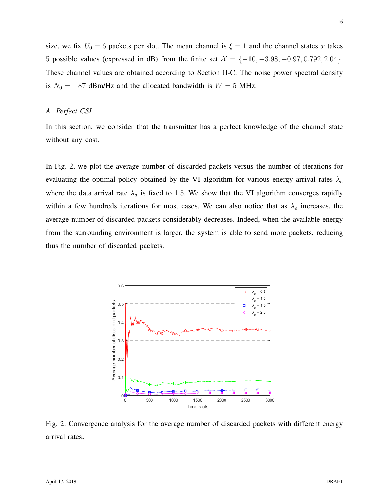size, we fix  $U_0 = 6$  packets per slot. The mean channel is  $\xi = 1$  and the channel states x takes 5 possible values (expressed in dB) from the finite set  $\mathcal{X} = \{-10, -3.98, -0.97, 0.792, 2.04\}.$ These channel values are obtained according to Section II-C. The noise power spectral density is  $N_0 = -87$  dBm/Hz and the allocated bandwidth is  $W = 5$  MHz.

#### *A. Perfect CSI*

In this section, we consider that the transmitter has a perfect knowledge of the channel state without any cost.

In Fig. 2, we plot the average number of discarded packets versus the number of iterations for evaluating the optimal policy obtained by the VI algorithm for various energy arrival rates  $\lambda_e$ where the data arrival rate  $\lambda_d$  is fixed to 1.5. We show that the VI algorithm converges rapidly within a few hundreds iterations for most cases. We can also notice that as  $\lambda_e$  increases, the average number of discarded packets considerably decreases. Indeed, when the available energy from the surrounding environment is larger, the system is able to send more packets, reducing thus the number of discarded packets.



Fig. 2: Convergence analysis for the average number of discarded packets with different energy arrival rates.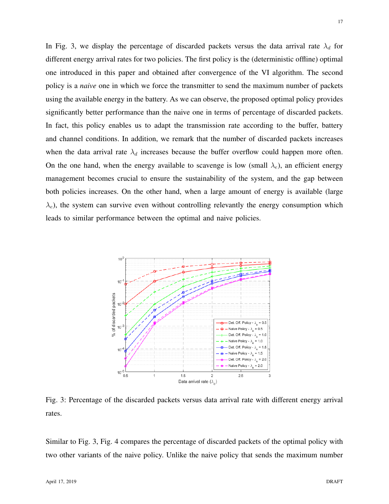In Fig. 3, we display the percentage of discarded packets versus the data arrival rate  $\lambda_d$  for different energy arrival rates for two policies. The first policy is the (deterministic offline) optimal one introduced in this paper and obtained after convergence of the VI algorithm. The second policy is a *naive* one in which we force the transmitter to send the maximum number of packets using the available energy in the battery. As we can observe, the proposed optimal policy provides significantly better performance than the naive one in terms of percentage of discarded packets. In fact, this policy enables us to adapt the transmission rate according to the buffer, battery and channel conditions. In addition, we remark that the number of discarded packets increases when the data arrival rate  $\lambda_d$  increases because the buffer overflow could happen more often. On the one hand, when the energy available to scavenge is low (small  $\lambda_e$ ), an efficient energy management becomes crucial to ensure the sustainability of the system, and the gap between both policies increases. On the other hand, when a large amount of energy is available (large  $\lambda_e$ ), the system can survive even without controlling relevantly the energy consumption which leads to similar performance between the optimal and naive policies.



Fig. 3: Percentage of the discarded packets versus data arrival rate with different energy arrival rates.

Similar to Fig. 3, Fig. 4 compares the percentage of discarded packets of the optimal policy with two other variants of the naive policy. Unlike the naive policy that sends the maximum number

17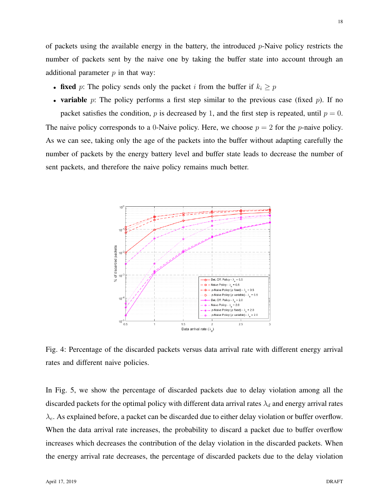of packets using the available energy in the battery, the introduced  $p$ -Naive policy restricts the number of packets sent by the naive one by taking the buffer state into account through an additional parameter  $p$  in that way:

- fixed p: The policy sends only the packet i from the buffer if  $k_i \geq p$
- variable  $p$ : The policy performs a first step similar to the previous case (fixed  $p$ ). If no packet satisfies the condition, p is decreased by 1, and the first step is repeated, until  $p = 0$ .

The naive policy corresponds to a 0-Naive policy. Here, we choose  $p = 2$  for the *p*-naive policy. As we can see, taking only the age of the packets into the buffer without adapting carefully the number of packets by the energy battery level and buffer state leads to decrease the number of sent packets, and therefore the naive policy remains much better.



Fig. 4: Percentage of the discarded packets versus data arrival rate with different energy arrival rates and different naive policies.

In Fig. 5, we show the percentage of discarded packets due to delay violation among all the discarded packets for the optimal policy with different data arrival rates  $\lambda_d$  and energy arrival rates  $\lambda_e$ . As explained before, a packet can be discarded due to either delay violation or buffer overflow. When the data arrival rate increases, the probability to discard a packet due to buffer overflow increases which decreases the contribution of the delay violation in the discarded packets. When the energy arrival rate decreases, the percentage of discarded packets due to the delay violation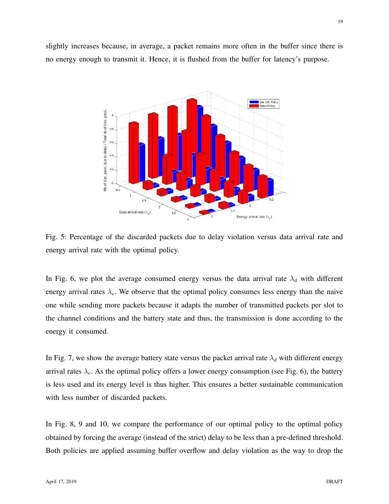19

slightly increases because, in average, a packet remains more often in the buffer since there is no energy enough to transmit it. Hence, it is flushed from the buffer for latency's purpose.



Fig. 5: Percentage of the discarded packets due to delay violation versus data arrival rate and energy arrival rate with the optimal policy.

In Fig. 6, we plot the average consumed energy versus the data arrival rate  $\lambda_d$  with different energy arrival rates  $\lambda_e$ . We observe that the optimal policy consumes less energy than the naive one while sending more packets because it adapts the number of transmitted packets per slot to the channel conditions and the battery state and thus, the transmission is done according to the energy it consumed.

In Fig. 7, we show the average battery state versus the packet arrival rate  $\lambda_d$  with different energy arrival rates  $\lambda_e$ . As the optimal policy offers a lower energy consumption (see Fig. 6), the battery is less used and its energy level is thus higher. This ensures a better sustainable communication with less number of discarded packets.

In Fig. 8, 9 and 10, we compare the performance of our optimal policy to the optimal policy obtained by forcing the average (instead of the strict) delay to be less than a pre-defined threshold. Both policies are applied assuming buffer overflow and delay violation as the way to drop the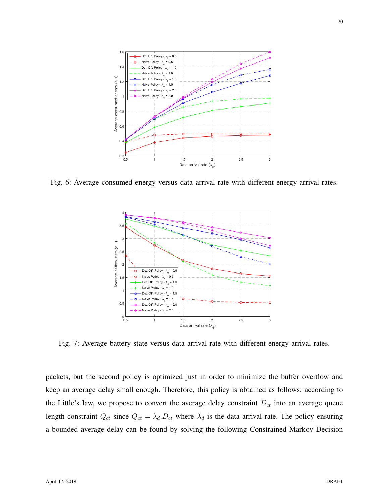

Fig. 6: Average consumed energy versus data arrival rate with different energy arrival rates.



Fig. 7: Average battery state versus data arrival rate with different energy arrival rates.

packets, but the second policy is optimized just in order to minimize the buffer overflow and keep an average delay small enough. Therefore, this policy is obtained as follows: according to the Little's law, we propose to convert the average delay constraint  $D_{ct}$  into an average queue length constraint  $Q_{ct}$  since  $Q_{ct} = \lambda_d \cdot D_{ct}$  where  $\lambda_d$  is the data arrival rate. The policy ensuring a bounded average delay can be found by solving the following Constrained Markov Decision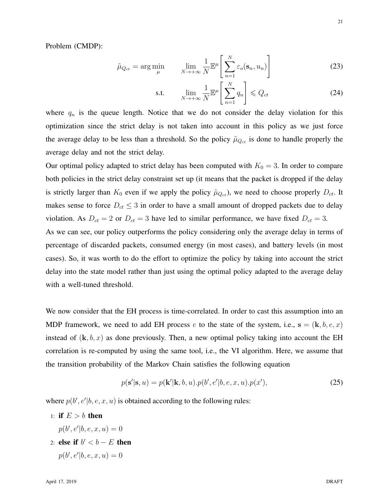Problem (CMDP):

$$
\tilde{\mu}_{Q_{ct}} = \arg \min_{\mu} \qquad \lim_{N \to +\infty} \frac{1}{N} \mathbb{E}^{\mu} \left[ \sum_{n=1}^{N} \varepsilon_o(\mathbf{s}_n, u_n) \right]
$$
\n(23)

$$
\text{s.t.} \qquad \lim_{N \to +\infty} \frac{1}{N} \mathbb{E}^{\mu} \left[ \sum_{n=1}^{N} q_n \right] \leq Q_{ct} \tag{24}
$$

where  $q_n$  is the queue length. Notice that we do not consider the delay violation for this optimization since the strict delay is not taken into account in this policy as we just force the average delay to be less than a threshold. So the policy  $\tilde{\mu}_{Qct}$  is done to handle properly the average delay and not the strict delay.

Our optimal policy adapted to strict delay has been computed with  $K_0 = 3$ . In order to compare both policies in the strict delay constraint set up (it means that the packet is dropped if the delay is strictly larger than  $K_0$  even if we apply the policy  $\tilde{\mu}_{Qct}$ , we need to choose properly  $D_{ct}$ . It makes sense to force  $D_{ct} \leq 3$  in order to have a small amount of dropped packets due to delay violation. As  $D_{ct} = 2$  or  $D_{ct} = 3$  have led to similar performance, we have fixed  $D_{ct} = 3$ . As we can see, our policy outperforms the policy considering only the average delay in terms of percentage of discarded packets, consumed energy (in most cases), and battery levels (in most cases). So, it was worth to do the effort to optimize the policy by taking into account the strict delay into the state model rather than just using the optimal policy adapted to the average delay with a well-tuned threshold.

We now consider that the EH process is time-correlated. In order to cast this assumption into an MDP framework, we need to add EH process e to the state of the system, i.e.,  $s = (k, b, e, x)$ instead of  $(k, b, x)$  as done previously. Then, a new optimal policy taking into account the EH correlation is re-computed by using the same tool, i.e., the VI algorithm. Here, we assume that the transition probability of the Markov Chain satisfies the following equation

$$
p(\mathbf{s}'|\mathbf{s}, u) = p(\mathbf{k}'|\mathbf{k}, b, u).p(b', e'|b, e, x, u).p(x'),\tag{25}
$$

where  $p(b', e'|b, e, x, u)$  is obtained according to the following rules:

- 1: if  $E > b$  then
	- $p(b', e'|b, e, x, u) = 0$
- 2: else if  $b' < b E$  then  $p(b', e'|b, e, x, u) = 0$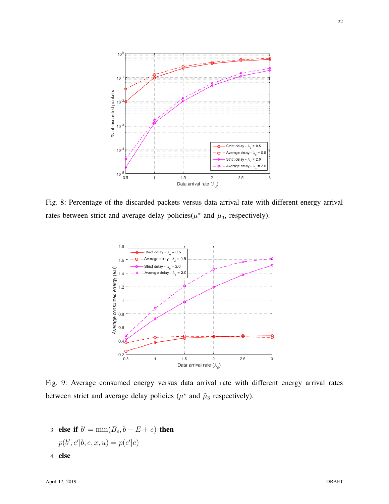

Fig. 8: Percentage of the discarded packets versus data arrival rate with different energy arrival rates between strict and average delay policies( $\mu^*$  and  $\tilde{\mu}_3$ , respectively).



Fig. 9: Average consumed energy versus data arrival rate with different energy arrival rates between strict and average delay policies ( $\mu^*$  and  $\tilde{\mu}_3$  respectively).

- 3: else if  $b' = min(B_e, b E + e)$  then  $p(b', e'|b, e, x, u) = p(e'|e)$
- 4: else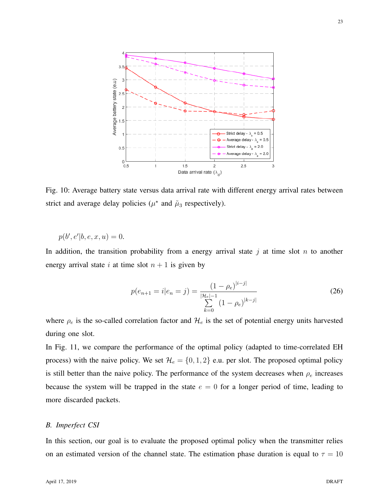

Fig. 10: Average battery state versus data arrival rate with different energy arrival rates between strict and average delay policies ( $\mu^*$  and  $\tilde{\mu}_3$  respectively).

$$
p(b', e'|b, e, x, u) = 0.
$$

In addition, the transition probability from a energy arrival state  $j$  at time slot  $n$  to another energy arrival state i at time slot  $n + 1$  is given by

$$
p(e_{n+1} = i | e_n = j) = \frac{(1 - \rho_e)^{|i - j|}}{\sum_{k=0}^{|\mathcal{H}_e| - 1} (1 - \rho_e)^{|k - j|}}
$$
(26)

where  $\rho_e$  is the so-called correlation factor and  $\mathcal{H}_e$  is the set of potential energy units harvested during one slot.

In Fig. 11, we compare the performance of the optimal policy (adapted to time-correlated EH process) with the naive policy. We set  $\mathcal{H}_e = \{0, 1, 2\}$  e.u. per slot. The proposed optimal policy is still better than the naive policy. The performance of the system decreases when  $\rho_e$  increases because the system will be trapped in the state  $e = 0$  for a longer period of time, leading to more discarded packets.

#### *B. Imperfect CSI*

In this section, our goal is to evaluate the proposed optimal policy when the transmitter relies on an estimated version of the channel state. The estimation phase duration is equal to  $\tau = 10$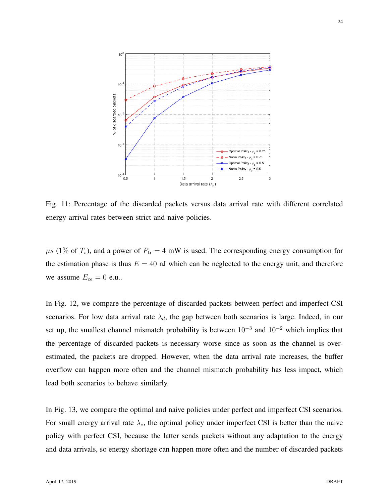

Fig. 11: Percentage of the discarded packets versus data arrival rate with different correlated energy arrival rates between strict and naive policies.

 $\mu$ s (1% of T<sub>s</sub>), and a power of  $P_{tr} = 4$  mW is used. The corresponding energy consumption for the estimation phase is thus  $E = 40$  nJ which can be neglected to the energy unit, and therefore we assume  $E_{ce} = 0$  e.u..

In Fig. 12, we compare the percentage of discarded packets between perfect and imperfect CSI scenarios. For low data arrival rate  $\lambda_d$ , the gap between both scenarios is large. Indeed, in our set up, the smallest channel mismatch probability is between  $10^{-3}$  and  $10^{-2}$  which implies that the percentage of discarded packets is necessary worse since as soon as the channel is overestimated, the packets are dropped. However, when the data arrival rate increases, the buffer overflow can happen more often and the channel mismatch probability has less impact, which lead both scenarios to behave similarly.

In Fig. 13, we compare the optimal and naive policies under perfect and imperfect CSI scenarios. For small energy arrival rate  $\lambda_e$ , the optimal policy under imperfect CSI is better than the naive policy with perfect CSI, because the latter sends packets without any adaptation to the energy and data arrivals, so energy shortage can happen more often and the number of discarded packets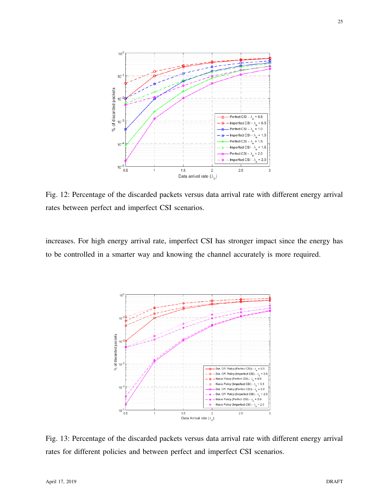

Fig. 12: Percentage of the discarded packets versus data arrival rate with different energy arrival rates between perfect and imperfect CSI scenarios.

increases. For high energy arrival rate, imperfect CSI has stronger impact since the energy has to be controlled in a smarter way and knowing the channel accurately is more required.



Fig. 13: Percentage of the discarded packets versus data arrival rate with different energy arrival rates for different policies and between perfect and imperfect CSI scenarios.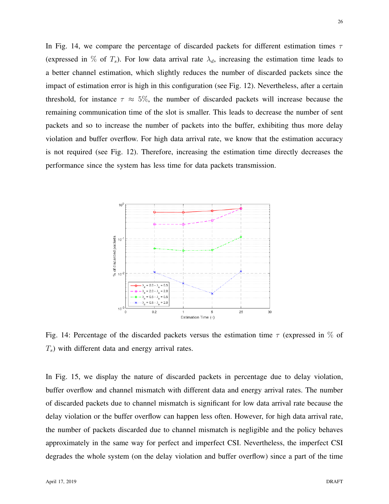In Fig. 14, we compare the percentage of discarded packets for different estimation times  $\tau$ (expressed in  $\%$  of  $T_s$ ). For low data arrival rate  $\lambda_d$ , increasing the estimation time leads to a better channel estimation, which slightly reduces the number of discarded packets since the impact of estimation error is high in this configuration (see Fig. 12). Nevertheless, after a certain threshold, for instance  $\tau \approx 5\%$ , the number of discarded packets will increase because the remaining communication time of the slot is smaller. This leads to decrease the number of sent packets and so to increase the number of packets into the buffer, exhibiting thus more delay violation and buffer overflow. For high data arrival rate, we know that the estimation accuracy is not required (see Fig. 12). Therefore, increasing the estimation time directly decreases the performance since the system has less time for data packets transmission.



Fig. 14: Percentage of the discarded packets versus the estimation time  $\tau$  (expressed in  $\%$  of  $T<sub>s</sub>$ ) with different data and energy arrival rates.

In Fig. 15, we display the nature of discarded packets in percentage due to delay violation, buffer overflow and channel mismatch with different data and energy arrival rates. The number of discarded packets due to channel mismatch is significant for low data arrival rate because the delay violation or the buffer overflow can happen less often. However, for high data arrival rate, the number of packets discarded due to channel mismatch is negligible and the policy behaves approximately in the same way for perfect and imperfect CSI. Nevertheless, the imperfect CSI degrades the whole system (on the delay violation and buffer overflow) since a part of the time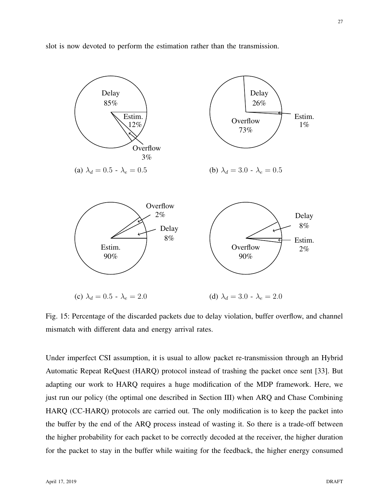slot is now devoted to perform the estimation rather than the transmission.



Fig. 15: Percentage of the discarded packets due to delay violation, buffer overflow, and channel mismatch with different data and energy arrival rates.

Under imperfect CSI assumption, it is usual to allow packet re-transmission through an Hybrid Automatic Repeat ReQuest (HARQ) protocol instead of trashing the packet once sent [33]. But adapting our work to HARQ requires a huge modification of the MDP framework. Here, we just run our policy (the optimal one described in Section III) when ARQ and Chase Combining HARQ (CC-HARQ) protocols are carried out. The only modification is to keep the packet into the buffer by the end of the ARQ process instead of wasting it. So there is a trade-off between the higher probability for each packet to be correctly decoded at the receiver, the higher duration for the packet to stay in the buffer while waiting for the feedback, the higher energy consumed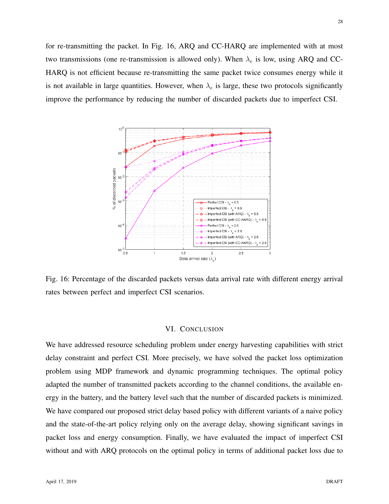for re-transmitting the packet. In Fig. 16, ARQ and CC-HARQ are implemented with at most two transmissions (one re-transmission is allowed only). When  $\lambda_e$  is low, using ARQ and CC-HARQ is not efficient because re-transmitting the same packet twice consumes energy while it is not available in large quantities. However, when  $\lambda_e$  is large, these two protocols significantly improve the performance by reducing the number of discarded packets due to imperfect CSI.



Fig. 16: Percentage of the discarded packets versus data arrival rate with different energy arrival rates between perfect and imperfect CSI scenarios.

#### VI. CONCLUSION

We have addressed resource scheduling problem under energy harvesting capabilities with strict delay constraint and perfect CSI. More precisely, we have solved the packet loss optimization problem using MDP framework and dynamic programming techniques. The optimal policy adapted the number of transmitted packets according to the channel conditions, the available energy in the battery, and the battery level such that the number of discarded packets is minimized. We have compared our proposed strict delay based policy with different variants of a naive policy and the state-of-the-art policy relying only on the average delay, showing significant savings in packet loss and energy consumption. Finally, we have evaluated the impact of imperfect CSI without and with ARQ protocols on the optimal policy in terms of additional packet loss due to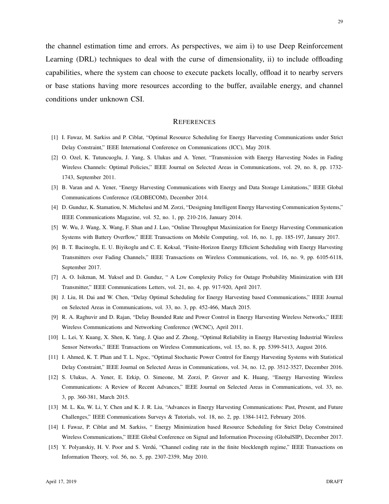the channel estimation time and errors. As perspectives, we aim i) to use Deep Reinforcement Learning (DRL) techniques to deal with the curse of dimensionality, ii) to include offloading capabilities, where the system can choose to execute packets locally, offload it to nearby servers or base stations having more resources according to the buffer, available energy, and channel conditions under unknown CSI.

#### **REFERENCES**

- [1] I. Fawaz, M. Sarkiss and P. Ciblat, "Optimal Resource Scheduling for Energy Harvesting Communications under Strict Delay Constraint," IEEE International Conference on Communications (ICC), May 2018.
- [2] O. Ozel, K. Tutuncuoglu, J. Yang, S. Ulukus and A. Yener, "Transmission with Energy Harvesting Nodes in Fading Wireless Channels: Optimal Policies," IEEE Journal on Selected Areas in Communications, vol. 29, no. 8, pp. 1732- 1743, September 2011.
- [3] B. Varan and A. Yener, "Energy Harvesting Communications with Energy and Data Storage Limitations," IEEE Global Communications Conference (GLOBECOM), December 2014.
- [4] D. Gunduz, K. Stamatiou, N. Michelusi and M. Zorzi, "Designing Intelligent Energy Harvesting Communication Systems," IEEE Communications Magazine, vol. 52, no. 1, pp. 210-216, January 2014.
- [5] W. Wu, J. Wang, X. Wang, F. Shan and J. Luo, "Online Throughput Maximization for Energy Harvesting Communication Systems with Battery Overflow," IEEE Transactions on Mobile Computing, vol. 16, no. 1, pp. 185-197, January 2017.
- [6] B. T. Bacinoglu, E. U. Biyikoglu and C. E. Koksal, "Finite-Horizon Energy Efficient Scheduling with Energy Harvesting Transmitters over Fading Channels," IEEE Transactions on Wireless Communications, vol. 16, no. 9, pp. 6105-6118, September 2017.
- [7] A. O. Isikman, M. Yuksel and D. Gunduz, " A Low Complexity Policy for Outage Probability Minimization with EH Transmitter," IEEE Communications Letters, vol. 21, no. 4, pp. 917-920, April 2017.
- [8] J. Liu, H. Dai and W. Chen, "Delay Optimal Scheduling for Energy Harvesting based Communications," IEEE Journal on Selected Areas in Communications, vol. 33, no. 3, pp. 452-466, March 2015.
- [9] R. A. Raghuvir and D. Rajan, "Delay Bounded Rate and Power Control in Energy Harvesting Wireless Networks," IEEE Wireless Communications and Networking Conference (WCNC), April 2011.
- [10] L. Lei, Y. Kuang, X. Shen, K. Yang, J. Qiao and Z. Zhong, "Optimal Reliability in Energy Harvesting Industrial Wireless Sensor Networks," IEEE Transactions on Wireless Communications, vol. 15, no. 8, pp. 5399-5413, August 2016.
- [11] I. Ahmed, K. T. Phan and T. L. Ngoc, "Optimal Stochastic Power Control for Energy Harvesting Systems with Statistical Delay Constraint," IEEE Journal on Selected Areas in Communications, vol. 34, no. 12, pp. 3512-3527, December 2016.
- [12] S. Ulukus, A. Yener, E. Erkip, O. Simeone, M. Zorzi, P. Grover and K. Huang, "Energy Harvesting Wireless Communications: A Review of Recent Advances," IEEE Journal on Selected Areas in Communications, vol. 33, no. 3, pp. 360-381, March 2015.
- [13] M. L. Ku, W. Li, Y. Chen and K. J. R. Liu, "Advances in Energy Harvesting Communications: Past, Present, and Future Challenges," IEEE Communications Surveys & Tutorials, vol. 18, no. 2, pp. 1384-1412, February 2016.
- [14] I. Fawaz, P. Ciblat and M. Sarkiss, " Energy Minimization based Resource Scheduling for Strict Delay Constrained Wireless Communications," IEEE Global Conference on Signal and Information Processing (GlobalSIP), December 2017.
- [15] Y. Polyanskiy, H. V. Poor and S. Verdú, "Channel coding rate in the finite blocklength regime," IEEE Transactions on Information Theory, vol. 56, no. 5, pp. 2307-2359, May 2010.